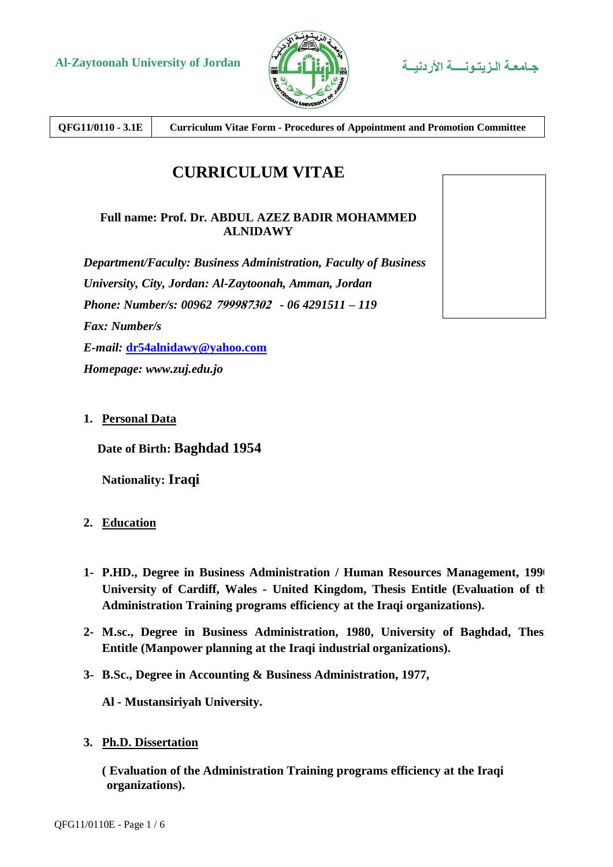

**QFG11/0110 - 3.1E Curriculum Vitae Form - Procedures of Appointment and Promotion Committee**

# **CURRICULUM VITAE**

### **Full name: Prof. Dr. ABDUL AZEZ BADIR MOHAMMED ALNIDAWY**

*Department/Faculty: Business Administration, Faculty of Business University, City, Jordan: Al-Zaytoonah, Amman, Jordan Phone: Number/s: 00962* **799987302** *- 06 4291511 – 119 Fax: Number/s E-mail:* **[dr54alnidawy@yahoo.com](mailto:dr54alnidawy@yahoo.com)** *Homepage: www.zuj.edu.jo*

## **1. Personal Data**

**Date of Birth: Baghdad 1954**

**Nationality: Iraqi**

- **2. Education**
- **1- P.HD., Degree in Business Administration / Human Resources Management, 1990** University of Cardiff, Wales - United Kingdom, Thesis Entitle (Evaluation of the **Administration Training programs efficiency at the Iraqi organizations).**
- **2- M.sc., Degree in Business Administration, 1980, University of Baghdad, Thesis Entitle (Manpower planning at the Iraqi industrial organizations).**
- **3- B.Sc., Degree in Accounting & Business Administration, 1977,**

**Al - Mustansiriyah University.**

**3. Ph.D. Dissertation**

**( Evaluation of the Administration Training programs efficiency at the Iraqi organizations).**

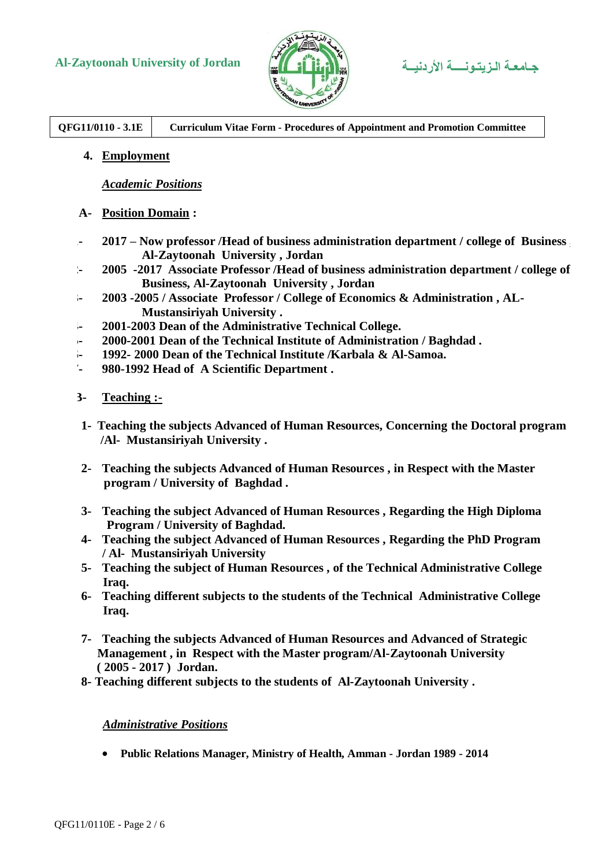# **Al-Zaytoonah University of Jordan األردنيــة الـزيتـونــــة جـامعـة**



**QFG11/0110 - 3.1E Curriculum Vitae Form - Procedures of Appointment and Promotion Committee**

**4. Employment**

*Academic Positions*

- **A- Position Domain :**
- **1- 2017 – Now professor /Head of business administration department / college of Business , Al-Zaytoonah University , Jordan**
- **2- 2005 -2017 Associate Professor /Head of business administration department / college of Business, Al-Zaytoonah University , Jordan**
- **3- 2003 -2005 / Associate Professor / College of Economics & Administration , AL-Mustansiriyah University .**
- **4- 2001-2003 Dean of the Administrative Technical College.**
- **5- 2000-2001 Dean of the Technical Institute of Administration / Baghdad .**
- **6- 1992- 2000 Dean of the Technical Institute /Karbala & Al-Samoa.**
- **7- 980-1992 Head of A Scientific Department .**
- **B- Teaching :-**
- **1- Teaching the subjects Advanced of Human Resources, Concerning the Doctoral program /Al- Mustansiriyah University .**
- **2- Teaching the subjects Advanced of Human Resources , in Respect with the Master program / University of Baghdad .**
- **3- Teaching the subject Advanced of Human Resources , Regarding the High Diploma Program / University of Baghdad.**
- **4- Teaching the subject Advanced of Human Resources , Regarding the PhD Program / Al- Mustansiriyah University**
- **5- Teaching the subject of Human Resources , of the Technical Administrative College Iraq.**
- **6- Teaching different subjects to the students of the Technical Administrative College Iraq.**
- **7- Teaching the subjects Advanced of Human Resources and Advanced of Strategic Management , in Respect with the Master program/Al-Zaytoonah University ( 2005 - 2017 ) Jordan.**
- **8- Teaching different subjects to the students of Al-Zaytoonah University .**

*Administrative Positions*

**Public Relations Manager, Ministry of Health, Amman - Jordan 1989 - 2014**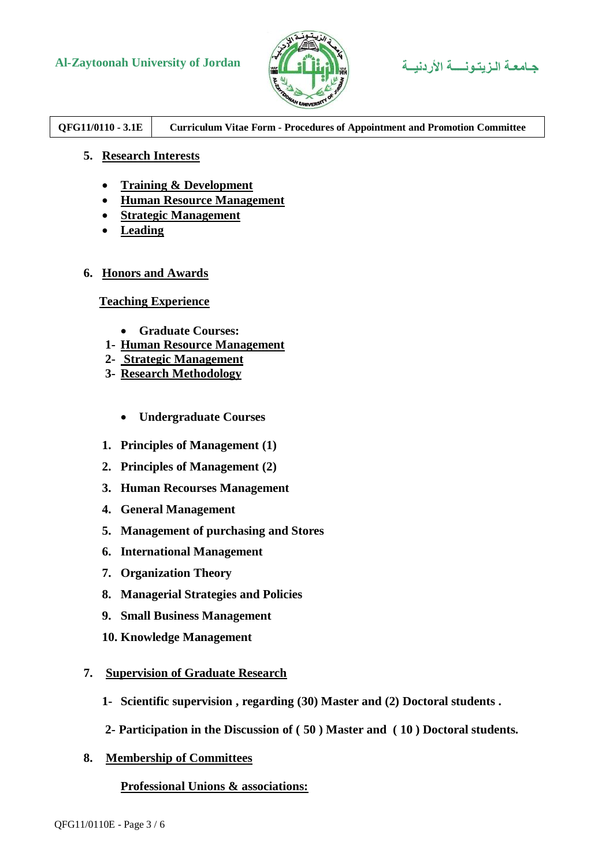# **Al-Zaytoonah University of Jordan األردنيــة الـزيتـونــــة جـامعـة**



## **QFG11/0110 - 3.1E Curriculum Vitae Form - Procedures of Appointment and Promotion Committee**

### **5. Research Interests**

- **Training & Development**
- **Human Resource Management**
- **Strategic Management**
- **Leading**

#### **6. Honors and Awards**

### **Teaching Experience**

- **Graduate Courses:**
- **1- Human Resource Management**
- **2- Strategic Management**
- **3- Research Methodology** 
	- **Undergraduate Courses**
- **1. Principles of Management (1)**
- **2. Principles of Management (2)**
- **3. Human Recourses Management**
- **4. General Management**
- **5. Management of purchasing and Stores**
- **6. International Management**
- **7. Organization Theory**
- **8. Managerial Strategies and Policies**
- **9. Small Business Management**
- **10. Knowledge Management**

#### **7. Supervision of Graduate Research**

- **1- Scientific supervision , regarding (30) Master and (2) Doctoral students .**
- **2- Participation in the Discussion of ( 50 ) Master and ( 10 ) Doctoral students.**
- **8. Membership of Committees**

#### **Professional Unions & associations:**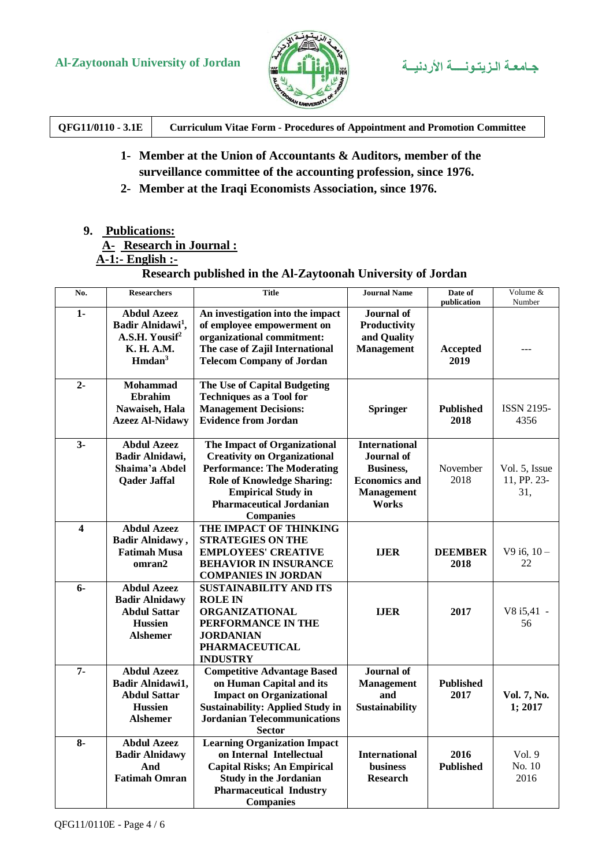

# جامعة الزيتونسة الأردنيية

| QFG11/0110 - 3.1E | <b>Curriculum Vitae Form - Procedures of Appointment and Promotion Committee</b> |
|-------------------|----------------------------------------------------------------------------------|
|                   |                                                                                  |

- 1- Member at the Union of Accountants & Auditors, member of the surveillance committee of the accounting profession, since 1976.
- 2- Member at the Iraqi Economists Association, since 1976.

### 9. Publications:

## A-Research in Journal :

## $\overline{A-1}$ :- English :-

## Research published in the Al-Zaytoonah University of Jordan

| No.                     | <b>Researchers</b>                                                                                                    | <b>Title</b>                                                                                                                                                                                                                       | <b>Journal Name</b>                                                                                                 | Date of<br>publication   | Volume &<br>Number                  |
|-------------------------|-----------------------------------------------------------------------------------------------------------------------|------------------------------------------------------------------------------------------------------------------------------------------------------------------------------------------------------------------------------------|---------------------------------------------------------------------------------------------------------------------|--------------------------|-------------------------------------|
| 1-                      | <b>Abdul Azeez</b><br>Badir Alnidawi <sup>1</sup> ,<br>A.S.H. Yousif <sup>2</sup><br>K. H. A.M.<br>Hmdan <sup>3</sup> | An investigation into the impact<br>of employee empowerment on<br>organizational commitment:<br>The case of Zajil International<br><b>Telecom Company of Jordan</b>                                                                | <b>Journal</b> of<br>Productivity<br>and Quality<br><b>Management</b>                                               | <b>Accepted</b><br>2019  |                                     |
| $2 -$                   | <b>Mohammad</b><br>Ebrahim<br>Nawaiseh, Hala<br><b>Azeez Al-Nidawy</b>                                                | The Use of Capital Budgeting<br><b>Techniques as a Tool for</b><br><b>Management Decisions:</b><br><b>Evidence from Jordan</b>                                                                                                     | <b>Springer</b>                                                                                                     | <b>Published</b><br>2018 | <b>ISSN 2195-</b><br>4356           |
| $3-$                    | <b>Abdul Azeez</b><br>Badir Alnidawi,<br>Shaima'a Abdel<br><b>Qader Jaffal</b>                                        | The Impact of Organizational<br><b>Creativity on Organizational</b><br><b>Performance: The Moderating</b><br><b>Role of Knowledge Sharing:</b><br><b>Empirical Study in</b><br><b>Pharmaceutical Jordanian</b><br><b>Companies</b> | <b>International</b><br><b>Journal</b> of<br><b>Business,</b><br><b>Economics and</b><br><b>Management</b><br>Works | November<br>2018         | Vol. 5, Issue<br>11, PP. 23-<br>31. |
| $\overline{\mathbf{4}}$ | <b>Abdul Azeez</b><br><b>Badir Alnidawy</b> ,<br><b>Fatimah Musa</b><br>omran2                                        | THE IMPACT OF THINKING<br><b>STRATEGIES ON THE</b><br><b>EMPLOYEES' CREATIVE</b><br><b>BEHAVIOR IN INSURANCE</b><br><b>COMPANIES IN JORDAN</b>                                                                                     | <b>IJER</b>                                                                                                         | <b>DEEMBER</b><br>2018   | $V9$ i6, $10 -$<br>22               |
| 6-                      | <b>Abdul Azeez</b><br><b>Badir Alnidawy</b><br><b>Abdul Sattar</b><br><b>Hussien</b><br><b>Alshemer</b>               | <b>SUSTAINABILITY AND ITS</b><br><b>ROLE IN</b><br><b>ORGANIZATIONAL</b><br>PERFORMANCE IN THE<br><b>JORDANIAN</b><br><b>PHARMACEUTICAL</b><br><b>INDUSTRY</b>                                                                     | <b>IJER</b>                                                                                                         | 2017                     | V8 i5,41 -<br>56                    |
| $7-$                    | <b>Abdul Azeez</b><br>Badir Alnidawi1,<br><b>Abdul Sattar</b><br><b>Hussien</b><br><b>Alshemer</b>                    | <b>Competitive Advantage Based</b><br>on Human Capital and its<br><b>Impact on Organizational</b><br><b>Sustainability: Applied Study in</b><br><b>Jordanian Telecommunications</b><br><b>Sector</b>                               | <b>Journal</b> of<br><b>Management</b><br>and<br><b>Sustainability</b>                                              | <b>Published</b><br>2017 | Vol. 7, No.<br>1; 2017              |
| $8-$                    | <b>Abdul Azeez</b><br><b>Badir Alnidawy</b><br>And<br><b>Fatimah Omran</b>                                            | <b>Learning Organization Impact</b><br>on Internal Intellectual<br><b>Capital Risks; An Empirical</b><br><b>Study in the Jordanian</b><br><b>Pharmaceutical Industry</b><br><b>Companies</b>                                       | <b>International</b><br><b>business</b><br><b>Research</b>                                                          | 2016<br><b>Published</b> | Vol. 9<br>No. 10<br>2016            |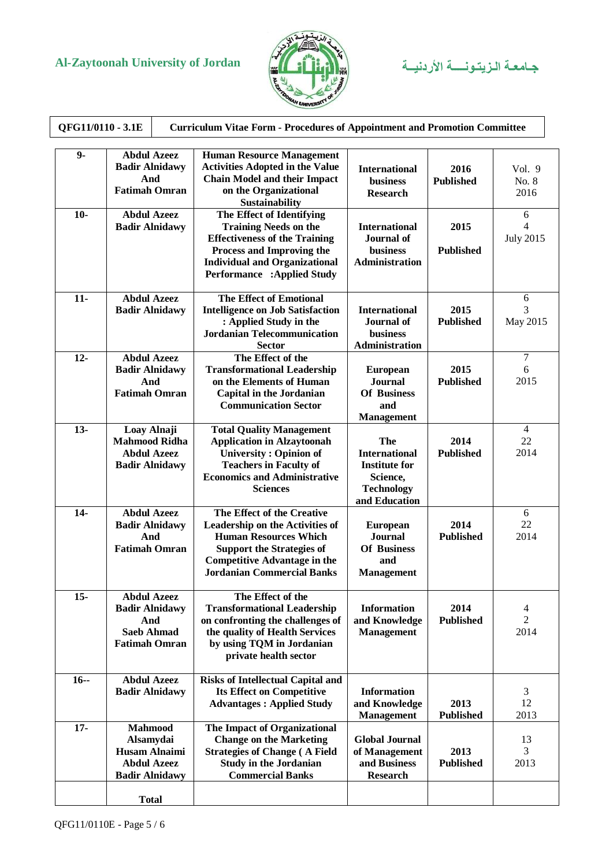# **Al-Zaytoonah University of Jordan األردنيــة الـزيتـونــــة جـامعـة**



| QFG11/0110 - 3.1E<br><b>Curriculum Vitae Form - Procedures of Appointment and Promotion Committee</b> |                                                                                                    |                                                                                                                                                                                                                      |                                                                                                       |                          |                              |  |
|-------------------------------------------------------------------------------------------------------|----------------------------------------------------------------------------------------------------|----------------------------------------------------------------------------------------------------------------------------------------------------------------------------------------------------------------------|-------------------------------------------------------------------------------------------------------|--------------------------|------------------------------|--|
| $9-$                                                                                                  | <b>Abdul Azeez</b><br><b>Badir Alnidawy</b><br>And<br><b>Fatimah Omran</b>                         | <b>Human Resource Management</b><br><b>Activities Adopted in the Value</b><br><b>Chain Model and their Impact</b><br>on the Organizational<br>Sustainability                                                         | <b>International</b><br><b>business</b><br><b>Research</b>                                            | 2016<br><b>Published</b> | Vol. 9<br>No. 8<br>2016      |  |
| $10-$                                                                                                 | <b>Abdul Azeez</b><br><b>Badir Alnidawy</b>                                                        | The Effect of Identifying<br><b>Training Needs on the</b><br><b>Effectiveness of the Training</b><br>Process and Improving the<br><b>Individual and Organizational</b><br><b>Performance :Applied Study</b>          | <b>International</b><br><b>Journal</b> of<br><b>business</b><br><b>Administration</b>                 | 2015<br><b>Published</b> | 6<br>4<br><b>July 2015</b>   |  |
| $11-$                                                                                                 | <b>Abdul Azeez</b><br><b>Badir Alnidawy</b>                                                        | <b>The Effect of Emotional</b><br><b>Intelligence on Job Satisfaction</b><br>: Applied Study in the<br><b>Jordanian Telecommunication</b><br><b>Sector</b>                                                           | <b>International</b><br><b>Journal</b> of<br>business<br><b>Administration</b>                        | 2015<br><b>Published</b> | 6<br>3<br>May 2015           |  |
| $12-$                                                                                                 | <b>Abdul Azeez</b><br><b>Badir Alnidawy</b><br>And<br><b>Fatimah Omran</b>                         | The Effect of the<br><b>Transformational Leadership</b><br>on the Elements of Human<br><b>Capital in the Jordanian</b><br><b>Communication Sector</b>                                                                | <b>European</b><br><b>Journal</b><br><b>Of Business</b><br>and<br><b>Management</b>                   | 2015<br><b>Published</b> | $\tau$<br>6<br>2015          |  |
| $13 -$                                                                                                | Loay Alnaji<br><b>Mahmood Ridha</b><br><b>Abdul Azeez</b><br><b>Badir Alnidawy</b>                 | <b>Total Quality Management</b><br><b>Application in Alzaytoonah</b><br><b>University: Opinion of</b><br><b>Teachers in Faculty of</b><br><b>Economics and Administrative</b><br><b>Sciences</b>                     | The<br><b>International</b><br><b>Institute for</b><br>Science,<br><b>Technology</b><br>and Education | 2014<br><b>Published</b> | $\overline{4}$<br>22<br>2014 |  |
| $14-$                                                                                                 | <b>Abdul Azeez</b><br><b>Badir Alnidawy</b><br>And<br><b>Fatimah Omran</b>                         | The Effect of the Creative<br><b>Leadership on the Activities of</b><br><b>Human Resources Which</b><br><b>Support the Strategies of</b><br><b>Competitive Advantage in the</b><br><b>Jordanian Commercial Banks</b> | <b>European</b><br><b>Journal</b><br><b>Of Business</b><br>and<br><b>Management</b>                   | 2014<br><b>Published</b> | 6<br>22<br>2014              |  |
| $15-$                                                                                                 | <b>Abdul Azeez</b><br><b>Badir Alnidawy</b><br>And<br><b>Saeb Ahmad</b><br><b>Fatimah Omran</b>    | The Effect of the<br><b>Transformational Leadership</b><br>on confronting the challenges of<br>the quality of Health Services<br>by using TQM in Jordanian<br>private health sector                                  | <b>Information</b><br>and Knowledge<br><b>Management</b>                                              | 2014<br><b>Published</b> | 4<br>$\overline{2}$<br>2014  |  |
| $16 -$                                                                                                | <b>Abdul Azeez</b><br><b>Badir Alnidawy</b>                                                        | <b>Risks of Intellectual Capital and</b><br><b>Its Effect on Competitive</b><br><b>Advantages: Applied Study</b>                                                                                                     | <b>Information</b><br>and Knowledge<br><b>Management</b>                                              | 2013<br><b>Published</b> | 3<br>12<br>2013              |  |
| $17 -$                                                                                                | <b>Mahmood</b><br>Alsamydai<br><b>Husam Alnaimi</b><br><b>Abdul Azeez</b><br><b>Badir Alnidawy</b> | The Impact of Organizational<br><b>Change on the Marketing</b><br><b>Strategies of Change (A Field</b><br><b>Study in the Jordanian</b><br><b>Commercial Banks</b>                                                   | <b>Global Journal</b><br>of Management<br>and Business<br><b>Research</b>                             | 2013<br><b>Published</b> | 13<br>3<br>2013              |  |
|                                                                                                       | <b>Total</b>                                                                                       |                                                                                                                                                                                                                      |                                                                                                       |                          |                              |  |